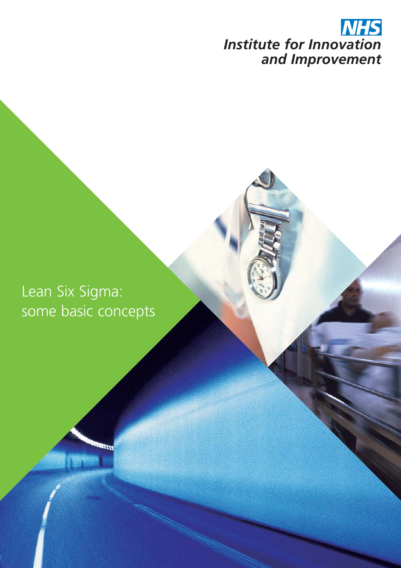

Lean Six Sigma: some basic concepts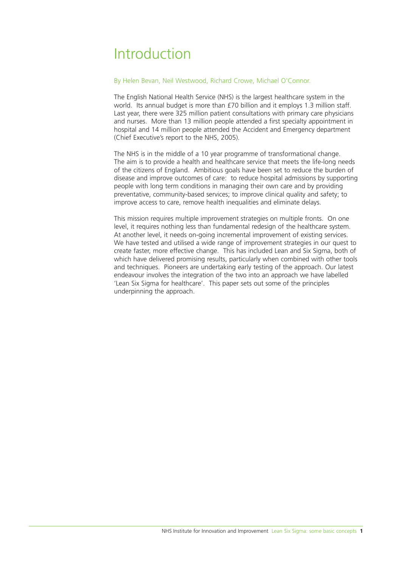## Introduction

### By Helen Bevan, Neil Westwood, Richard Crowe, Michael O'Connor.

The English National Health Service (NHS) is the largest healthcare system in the world. Its annual budget is more than £70 billion and it employs 1.3 million staff. Last year, there were 325 million patient consultations with primary care physicians and nurses. More than 13 million people attended a first specialty appointment in hospital and 14 million people attended the Accident and Emergency department (Chief Executive's report to the NHS, 2005).

The NHS is in the middle of a 10 year programme of transformational change. The aim is to provide a health and healthcare service that meets the life-long needs of the citizens of England. Ambitious goals have been set to reduce the burden of disease and improve outcomes of care: to reduce hospital admissions by supporting people with long term conditions in managing their own care and by providing preventative, community-based services; to improve clinical quality and safety; to improve access to care, remove health inequalities and eliminate delays.

This mission requires multiple improvement strategies on multiple fronts. On one level, it requires nothing less than fundamental redesign of the healthcare system. At another level, it needs on-going incremental improvement of existing services. We have tested and utilised a wide range of improvement strategies in our quest to create faster, more effective change. This has included Lean and Six Sigma, both of which have delivered promising results, particularly when combined with other tools and techniques. Pioneers are undertaking early testing of the approach. Our latest endeavour involves the integration of the two into an approach we have labelled 'Lean Six Sigma for healthcare'. This paper sets out some of the principles underpinning the approach.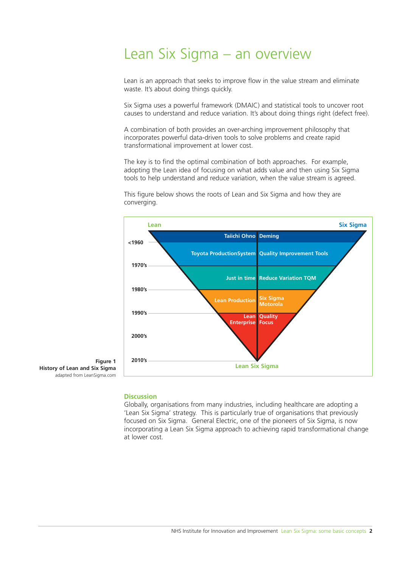## Lean Six Sigma – an overview

Lean is an approach that seeks to improve flow in the value stream and eliminate waste. It's about doing things quickly.

Six Sigma uses a powerful framework (DMAIC) and statistical tools to uncover root causes to understand and reduce variation. It's about doing things right (defect free).

A combination of both provides an over-arching improvement philosophy that incorporates powerful data-driven tools to solve problems and create rapid transformational improvement at lower cost.

The key is to find the optimal combination of both approaches. For example, adopting the Lean idea of focusing on what adds value and then using Six Sigma tools to help understand and reduce variation, when the value stream is agreed.

This figure below shows the roots of Lean and Six Sigma and how they are converging.



**Figure 1 History of Lean and Six Sigma**  adapted from LeanSigma.com

### **Discussion**

Globally, organisations from many industries, including healthcare are adopting a 'Lean Six Sigma' strategy. This is particularly true of organisations that previously focused on Six Sigma. General Electric, one of the pioneers of Six Sigma, is now incorporating a Lean Six Sigma approach to achieving rapid transformational change at lower cost.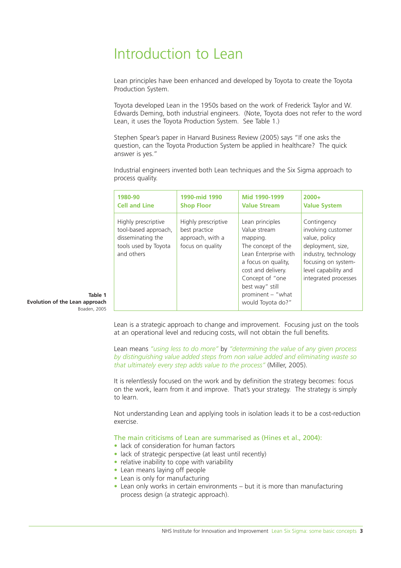# Introduction to Lean

Lean principles have been enhanced and developed by Toyota to create the Toyota Production System.

Toyota developed Lean in the 1950s based on the work of Frederick Taylor and W. Edwards Deming, both industrial engineers. (Note, Toyota does not refer to the word Lean, it uses the Toyota Production System. See Table 1.)

Stephen Spear's paper in Harvard Business Review (2005) says "If one asks the question, can the Toyota Production System be applied in healthcare? The quick answer is yes."

Industrial engineers invented both Lean techniques and the Six Sigma approach to process quality.

| 1980-90                                                                                                | 1990-mid 1990                                                                | Mid 1990-1999                                                                                                                                                                                                          | $2000+$                                                                                                                                                                |
|--------------------------------------------------------------------------------------------------------|------------------------------------------------------------------------------|------------------------------------------------------------------------------------------------------------------------------------------------------------------------------------------------------------------------|------------------------------------------------------------------------------------------------------------------------------------------------------------------------|
| <b>Cell and Line</b>                                                                                   | <b>Shop Floor</b>                                                            | <b>Value Stream</b>                                                                                                                                                                                                    | <b>Value System</b>                                                                                                                                                    |
| Highly prescriptive<br>tool-based approach,<br>disseminating the<br>tools used by Toyota<br>and others | Highly prescriptive<br>best practice<br>approach, with a<br>focus on quality | Lean principles<br>Value stream<br>mapping.<br>The concept of the<br>Lean Enterprise with<br>a focus on quality,<br>cost and delivery.<br>Concept of "one<br>best way" still<br>prominent - "what<br>would Toyota do?" | Contingency<br>involving customer<br>value, policy<br>deployment, size,<br>industry, technology<br>focusing on system-<br>level capability and<br>integrated processes |

**Table 1 Evolution of the Lean approach**  Boaden, 2005

> Lean is a strategic approach to change and improvement. Focusing just on the tools at an operational level and reducing costs, will not obtain the full benefits.

> Lean means *"using less to do more"* by *"determining the value of any given process by distinguishing value added steps from non value added and eliminating waste so that ultimately every step adds value to the process"* (Miller, 2005).

> It is relentlessly focused on the work and by definition the strategy becomes: focus on the work, learn from it and improve. That's your strategy. The strategy is simply to learn.

Not understanding Lean and applying tools in isolation leads it to be a cost-reduction exercise.

The main criticisms of Lean are summarised as (Hines et al., 2004):

- lack of consideration for human factors
- lack of strategic perspective (at least until recently)
- relative inability to cope with variability
- Lean means laving off people
- Lean is only for manufacturing
- Lean only works in certain environments but it is more than manufacturing process design (a strategic approach).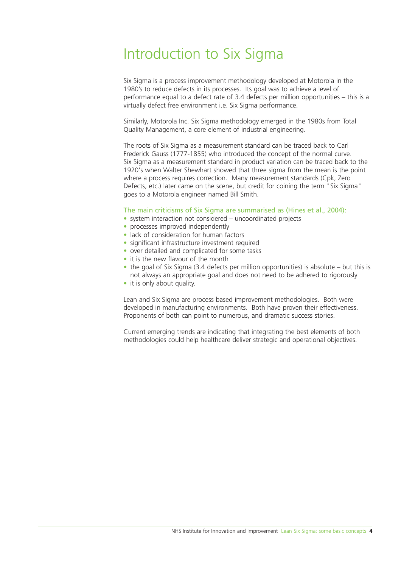## Introduction to Six Sigma

Six Sigma is a process improvement methodology developed at Motorola in the 1980's to reduce defects in its processes. Its goal was to achieve a level of performance equal to a defect rate of 3.4 defects per million opportunities – this is a virtually defect free environment i.e. Six Sigma performance.

Similarly, Motorola Inc. Six Sigma methodology emerged in the 1980s from Total Quality Management, a core element of industrial engineering.

The roots of Six Sigma as a measurement standard can be traced back to Carl Frederick Gauss (1777-1855) who introduced the concept of the normal curve. Six Sigma as a measurement standard in product variation can be traced back to the 1920's when Walter Shewhart showed that three sigma from the mean is the point where a process requires correction. Many measurement standards (Cpk, Zero Defects, etc.) later came on the scene, but credit for coining the term "Six Sigma" goes to a Motorola engineer named Bill Smith.

## The main criticisms of Six Sigma are summarised as (Hines et al., 2004):

- system interaction not considered uncoordinated projects
- processes improved independently
- lack of consideration for human factors
- significant infrastructure investment required
- over detailed and complicated for some tasks
- it is the new flavour of the month
- the goal of Six Sigma (3.4 defects per million opportunities) is absolute but this is not always an appropriate goal and does not need to be adhered to rigorously
- it is only about quality.

Lean and Six Sigma are process based improvement methodologies. Both were developed in manufacturing environments. Both have proven their effectiveness. Proponents of both can point to numerous, and dramatic success stories.

Current emerging trends are indicating that integrating the best elements of both methodologies could help healthcare deliver strategic and operational objectives.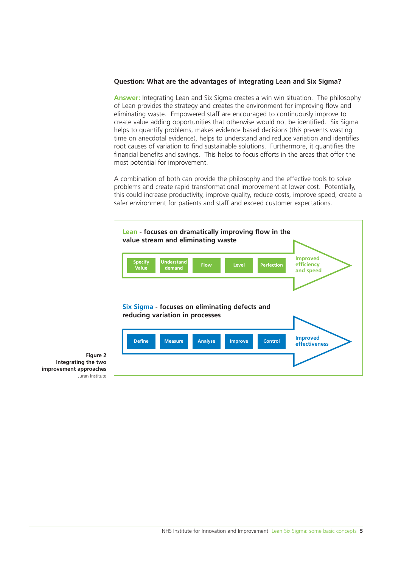## **Question: What are the advantages of integrating Lean and Six Sigma?**

**Answer:** Integrating Lean and Six Sigma creates a win win situation. The philosophy of Lean provides the strategy and creates the environment for improving flow and eliminating waste. Empowered staff are encouraged to continuously improve to create value adding opportunities that otherwise would not be identified. Six Sigma helps to quantify problems, makes evidence based decisions (this prevents wasting time on anecdotal evidence), helps to understand and reduce variation and identifies root causes of variation to find sustainable solutions. Furthermore, it quantifies the financial benefits and savings. This helps to focus efforts in the areas that offer the most potential for improvement.

A combination of both can provide the philosophy and the effective tools to solve problems and create rapid transformational improvement at lower cost. Potentially, this could increase productivity, improve quality, reduce costs, improve speed, create a safer environment for patients and staff and exceed customer expectations.



**Figure 2 Integrating the two improvement approaches**  Juran Institute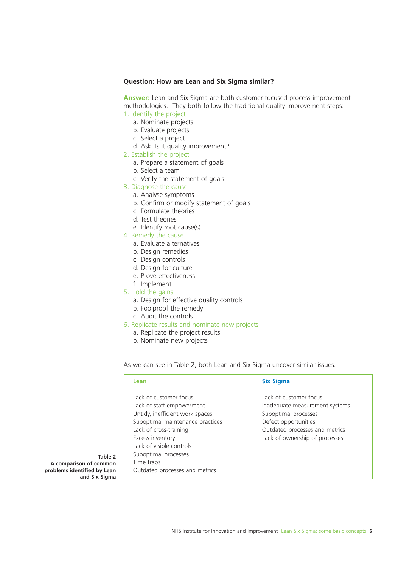### **Question: How are Lean and Six Sigma similar?**

**Answer:** Lean and Six Sigma are both customer-focused process improvement methodologies. They both follow the traditional quality improvement steps: 1. Identify the project

- a. Nominate projects
	- b. Evaluate projects
	-
	- c. Select a project
	- d. Ask: Is it quality improvement?
- 2. Establish the project
	- a. Prepare a statement of goals
	- b. Select a team
	- c. Verify the statement of goals
- 3. Diagnose the cause
	- a. Analyse symptoms
	- b. Confirm or modify statement of goals
	- c. Formulate theories
	- d. Test theories
	- e. Identify root cause(s)
- 4. Remedy the cause
	- a. Evaluate alternatives
	- b. Design remedies
	- c. Design controls
	- d. Design for culture
	- e. Prove effectiveness
	- f. Implement
- 5. Hold the gains
	- a. Design for effective quality controls
	- b. Foolproof the remedy
	- c. Audit the controls
- 6. Replicate results and nominate new projects
	- a. Replicate the project results
	- b. Nominate new projects

As we can see in Table 2, both Lean and Six Sigma uncover similar issues.

| Lean                                                                                                                                                                                                                                                                         | <b>Six Sigma</b>                                                                                                                                                             |
|------------------------------------------------------------------------------------------------------------------------------------------------------------------------------------------------------------------------------------------------------------------------------|------------------------------------------------------------------------------------------------------------------------------------------------------------------------------|
| Lack of customer focus<br>Lack of staff empowerment<br>Untidy, inefficient work spaces<br>Suboptimal maintenance practices<br>Lack of cross-training<br>Excess inventory<br>Lack of visible controls<br>Suboptimal processes<br>Time traps<br>Outdated processes and metrics | Lack of customer focus<br>Inadequate measurement systems<br>Suboptimal processes<br>Defect opportunities<br>Outdated processes and metrics<br>Lack of ownership of processes |

**Table 2 A comparison of common problems identified by Lean and Six Sigma**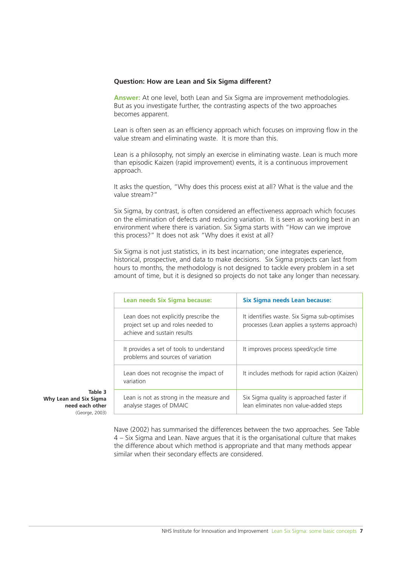## **Question: How are Lean and Six Sigma different?**

**Answer:** At one level, both Lean and Six Sigma are improvement methodologies. But as you investigate further, the contrasting aspects of the two approaches becomes apparent.

Lean is often seen as an efficiency approach which focuses on improving flow in the value stream and eliminating waste. It is more than this.

Lean is a philosophy, not simply an exercise in eliminating waste. Lean is much more than episodic Kaizen (rapid improvement) events, it is a continuous improvement approach.

It asks the question, "Why does this process exist at all? What is the value and the value stream?"

Six Sigma, by contrast, is often considered an effectiveness approach which focuses on the elimination of defects and reducing variation. It is seen as working best in an environment where there is variation. Six Sigma starts with "How can we improve this process?" It does not ask "Why does it exist at all?

Six Sigma is not just statistics, in its best incarnation; one integrates experience, historical, prospective, and data to make decisions. Six Sigma projects can last from hours to months, the methodology is not designed to tackle every problem in a set amount of time, but it is designed so projects do not take any longer than necessary.

| Lean needs Six Sigma because:                                                                               | Six Sigma needs Lean because:                                                               |
|-------------------------------------------------------------------------------------------------------------|---------------------------------------------------------------------------------------------|
| Lean does not explicitly prescribe the<br>project set up and roles needed to<br>achieve and sustain results | It identifies waste. Six Sigma sub-optimises<br>processes (Lean applies a systems approach) |
| It provides a set of tools to understand<br>problems and sources of variation                               | It improves process speed/cycle time                                                        |
| Lean does not recognise the impact of<br>variation                                                          | It includes methods for rapid action (Kaizen)                                               |
| Lean is not as strong in the measure and<br>analyse stages of DMAIC                                         | Six Sigma quality is approached faster if<br>lean eliminates non value-added steps          |

**Table 3 Why Lean and Six Sigma need each other**  (George, 2003)

> Nave (2002) has summarised the differences between the two approaches. See Table 4 – Six Sigma and Lean. Nave argues that it is the organisational culture that makes the difference about which method is appropriate and that many methods appear similar when their secondary effects are considered.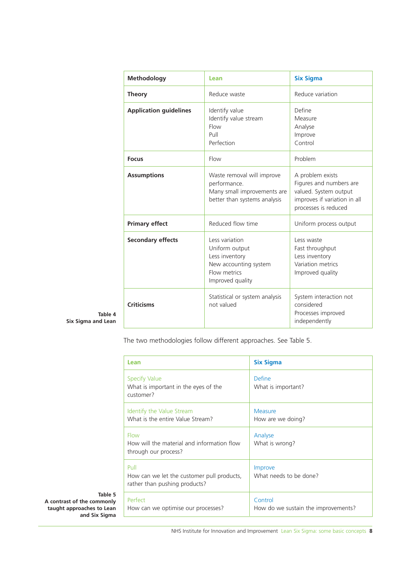| <b>Methodology</b>            | Lean                                                                                                            | <b>Six Sigma</b>                                                                                                             |
|-------------------------------|-----------------------------------------------------------------------------------------------------------------|------------------------------------------------------------------------------------------------------------------------------|
| <b>Theory</b>                 | Reduce waste                                                                                                    | Reduce variation                                                                                                             |
| <b>Application guidelines</b> | Identify value<br>Identify value stream<br>Flow<br>Pull<br>Perfection                                           | Define<br>Measure<br>Analyse<br>Improve<br>Control                                                                           |
| <b>Focus</b>                  | Flow                                                                                                            | Problem                                                                                                                      |
| <b>Assumptions</b>            | Waste removal will improve<br>performance.<br>Many small improvements are<br>better than systems analysis       | A problem exists<br>Figures and numbers are<br>valued. System output<br>improves if variation in all<br>processes is reduced |
| <b>Primary effect</b>         | Reduced flow time                                                                                               | Uniform process output                                                                                                       |
| <b>Secondary effects</b>      | Less variation<br>Uniform output<br>Less inventory<br>New accounting system<br>Flow metrics<br>Improved quality | Less waste<br>Fast throughput<br>Less inventory<br>Variation metrics<br>Improved quality                                     |
| <b>Criticisms</b>             | Statistical or system analysis<br>not valued                                                                    | System interaction not<br>considered<br>Processes improved<br>independently                                                  |

**Table 4 Six Sigma and Lean**

The two methodologies follow different approaches. See Table 5.

| Lean                                                                                | <b>Six Sigma</b>                               |
|-------------------------------------------------------------------------------------|------------------------------------------------|
| <b>Specify Value</b><br>What is important in the eyes of the<br>customer?           | Define<br>What is important?                   |
| Identify the Value Stream<br>What is the entire Value Stream?                       | Measure<br>How are we doing?                   |
| <b>Flow</b><br>How will the material and information flow<br>through our process?   | Analyse<br>What is wrong?                      |
| Pull<br>How can we let the customer pull products,<br>rather than pushing products? | Improve<br>What needs to be done?              |
| Perfect<br>How can we optimise our processes?                                       | Control<br>How do we sustain the improvements? |

#### **Table 5 A contrast of the commonly taught approaches to Lean and Six Sigma**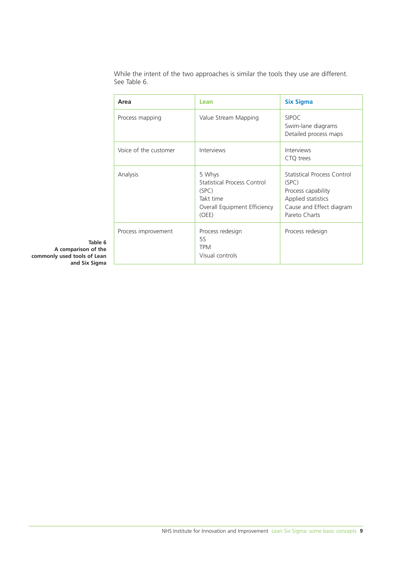While the intent of the two approaches is similar the tools they use are different. See Table 6.

| Area                  | Lean                                                                                                 | <b>Six Sigma</b>                                                                                                              |
|-----------------------|------------------------------------------------------------------------------------------------------|-------------------------------------------------------------------------------------------------------------------------------|
| Process mapping       | Value Stream Mapping                                                                                 | <b>SIPOC</b><br>Swim-lane diagrams<br>Detailed process maps                                                                   |
| Voice of the customer | Interviews                                                                                           | Interviews<br>CTQ trees                                                                                                       |
| Analysis              | 5 Whys<br>Statistical Process Control<br>(SPC)<br>Takt time<br>Overall Equipment Efficiency<br>(OEE) | Statistical Process Control<br>(SPC)<br>Process capability<br>Applied statistics<br>Cause and Effect diagram<br>Pareto Charts |
| Process improvement   | Process redesign<br>5S<br><b>TPM</b><br>Visual controls                                              | Process redesign                                                                                                              |

**Table 6 A comparison of the commonly used tools of Lean and Six Sigma**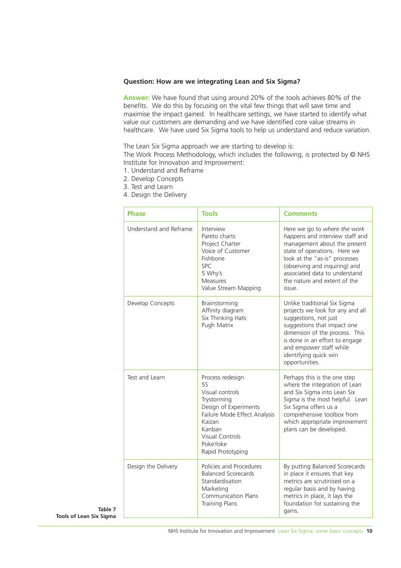## **Question: How are we integrating Lean and Six Sigma?**

**Answer:** We have found that using around 20% of the tools achieves 80% of the benefits. We do this by focusing on the vital few things that will save time and maximise the impact gained. In healthcare settings, we have started to identify what value our customers are demanding and we have identified core value streams in healthcare. We have used Six Sigma tools to help us understand and reduce variation.

The Lean Six Sigma approach we are starting to develop is:

The Work Process Methodology, which includes the following, is protected by © NHS Institute for Innovation and Improvement:

- 1. Understand and Reframe
- 2. Develop Concepts
- 3. Test and Learn
- 4. Design the Delivery

|                    | <b>Phase</b>           | <b>Tools</b>                                                                                                                                                                              | <b>Comments</b>                                                                                                                                                                                                                                                              |
|--------------------|------------------------|-------------------------------------------------------------------------------------------------------------------------------------------------------------------------------------------|------------------------------------------------------------------------------------------------------------------------------------------------------------------------------------------------------------------------------------------------------------------------------|
|                    | Understand and Reframe | Interview<br>Pareto charts<br>Project Charter<br>Voice of Customer<br>Fishbone<br><b>SPC</b><br>5 Why's<br><b>Measures</b><br>Value Stream Mapping                                        | Here we go to where the work<br>happens and interview staff and<br>management about the present<br>state of operations. Here we<br>look at the "as-is" processes<br>(observing and inquiring) and<br>associated data to understand<br>the nature and extent of the<br>issue. |
|                    | Develop Concepts       | Brainstorming<br>Affinity diagram<br>Six Thinking Hats<br>Pugh Matrix                                                                                                                     | Unlike traditional Six Sigma<br>projects we look for any and all<br>suggestions, not just<br>suggestions that impact one<br>dimension of the process. This<br>is done in an effort to engage<br>and empower staff while<br>identifying quick win<br>opportunities.           |
| Table 7<br>: Siama | Test and Learn         | Process redesign<br>55<br>Visual controls<br>Trystorming<br>Design of Experiments<br>Failure Mode Effect Analysis<br>Kaizan<br>Kanban<br>Visual Controls<br>PokeYoke<br>Rapid Prototyping | Perhaps this is the one step<br>where the integration of Lean<br>and Six Sigma into Lean Six<br>Sigma is the most helpful. Lean<br>Six Sigma offers us a<br>comprehensive toolbox from<br>which appropriate improvement<br>plans can be developed.                           |
|                    | Design the Delivery    | Policies and Procedures<br><b>Balanced Scorecards</b><br>Standardisation<br>Marketing<br><b>Communication Plans</b><br><b>Training Plans</b>                                              | By putting Balanced Scorecards<br>in place it ensures that key<br>metrics are scrutinised on a<br>regular basis and by having<br>metrics in place, it lays the<br>foundation for sustaining the<br>gains.                                                                    |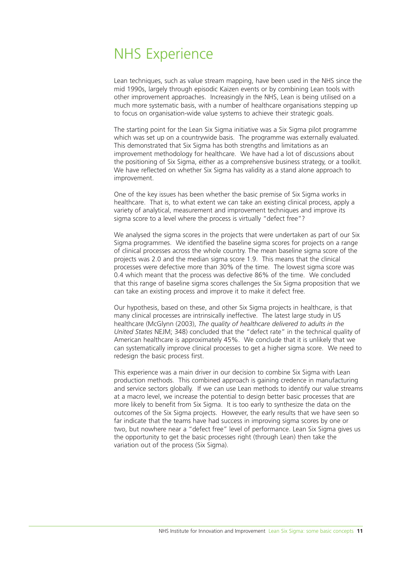## NHS Experience

Lean techniques, such as value stream mapping, have been used in the NHS since the mid 1990s, largely through episodic Kaizen events or by combining Lean tools with other improvement approaches. Increasingly in the NHS, Lean is being utilised on a much more systematic basis, with a number of healthcare organisations stepping up to focus on organisation-wide value systems to achieve their strategic goals.

The starting point for the Lean Six Sigma initiative was a Six Sigma pilot programme which was set up on a countrywide basis. The programme was externally evaluated. This demonstrated that Six Sigma has both strengths and limitations as an improvement methodology for healthcare. We have had a lot of discussions about the positioning of Six Sigma, either as a comprehensive business strategy, or a toolkit. We have reflected on whether Six Sigma has validity as a stand alone approach to improvement.

One of the key issues has been whether the basic premise of Six Sigma works in healthcare. That is, to what extent we can take an existing clinical process, apply a variety of analytical, measurement and improvement techniques and improve its sigma score to a level where the process is virtually "defect free"?

We analysed the sigma scores in the projects that were undertaken as part of our Six Sigma programmes. We identified the baseline sigma scores for projects on a range of clinical processes across the whole country. The mean baseline sigma score of the projects was 2.0 and the median sigma score 1.9. This means that the clinical processes were defective more than 30% of the time. The lowest sigma score was 0.4 which meant that the process was defective 86% of the time. We concluded that this range of baseline sigma scores challenges the Six Sigma proposition that we can take an existing process and improve it to make it defect free.

Our hypothesis, based on these, and other Six Sigma projects in healthcare, is that many clinical processes are intrinsically ineffective. The latest large study in US healthcare (McGlynn (2003), *The quality of healthcare delivered to adults in the United States* NEJM; 348) concluded that the "defect rate" in the technical quality of American healthcare is approximately 45%. We conclude that it is unlikely that we can systematically improve clinical processes to get a higher sigma score. We need to redesign the basic process first.

This experience was a main driver in our decision to combine Six Sigma with Lean production methods. This combined approach is gaining credence in manufacturing and service sectors globally. If we can use Lean methods to identify our value streams at a macro level, we increase the potential to design better basic processes that are more likely to benefit from Six Sigma. It is too early to synthesize the data on the outcomes of the Six Sigma projects. However, the early results that we have seen so far indicate that the teams have had success in improving sigma scores by one or two, but nowhere near a "defect free" level of performance. Lean Six Sigma gives us the opportunity to get the basic processes right (through Lean) then take the variation out of the process (Six Sigma).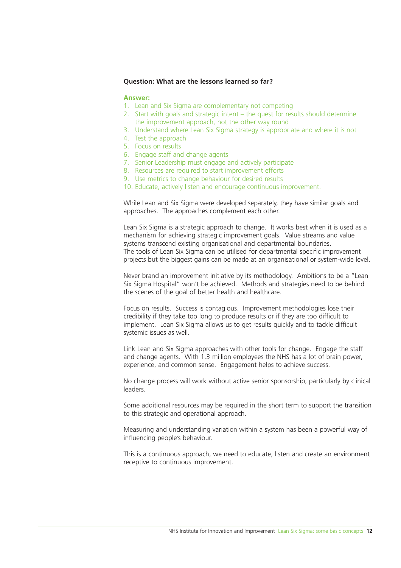### **Question: What are the lessons learned so far?**

#### **Answer:**

- 1. Lean and Six Sigma are complementary not competing
- 2. Start with goals and strategic intent the quest for results should determine the improvement approach, not the other way round
- 3. Understand where Lean Six Sigma strategy is appropriate and where it is not
- 4. Test the approach
- 5. Focus on results
- 6. Engage staff and change agents
- 7. Senior Leadership must engage and actively participate
- 8. Resources are required to start improvement efforts
- 9. Use metrics to change behaviour for desired results
- 10. Educate, actively listen and encourage continuous improvement.

While Lean and Six Sigma were developed separately, they have similar goals and approaches. The approaches complement each other.

Lean Six Sigma is a strategic approach to change. It works best when it is used as a mechanism for achieving strategic improvement goals. Value streams and value systems transcend existing organisational and departmental boundaries. The tools of Lean Six Sigma can be utilised for departmental specific improvement projects but the biggest gains can be made at an organisational or system-wide level.

Never brand an improvement initiative by its methodology. Ambitions to be a "Lean Six Sigma Hospital" won't be achieved. Methods and strategies need to be behind the scenes of the goal of better health and healthcare.

Focus on results. Success is contagious. Improvement methodologies lose their credibility if they take too long to produce results or if they are too difficult to implement. Lean Six Sigma allows us to get results quickly and to tackle difficult systemic issues as well.

Link Lean and Six Sigma approaches with other tools for change. Engage the staff and change agents. With 1.3 million employees the NHS has a lot of brain power, experience, and common sense. Engagement helps to achieve success.

No change process will work without active senior sponsorship, particularly by clinical leaders.

Some additional resources may be required in the short term to support the transition to this strategic and operational approach.

Measuring and understanding variation within a system has been a powerful way of influencing people's behaviour.

This is a continuous approach, we need to educate, listen and create an environment receptive to continuous improvement.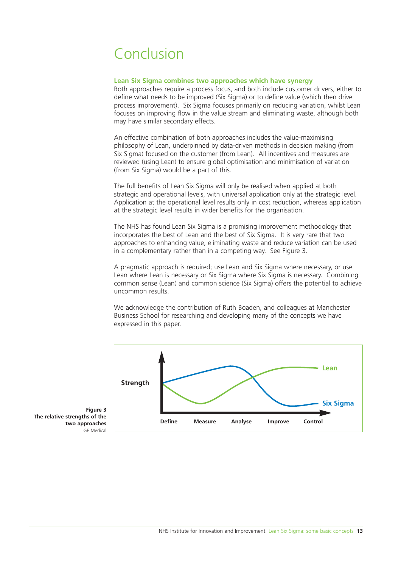# Conclusion

#### **Lean Six Sigma combines two approaches which have synergy**

Both approaches require a process focus, and both include customer drivers, either to define what needs to be improved (Six Sigma) or to define value (which then drive process improvement). Six Sigma focuses primarily on reducing variation, whilst Lean focuses on improving flow in the value stream and eliminating waste, although both may have similar secondary effects.

An effective combination of both approaches includes the value-maximising philosophy of Lean, underpinned by data-driven methods in decision making (from Six Sigma) focused on the customer (from Lean). All incentives and measures are reviewed (using Lean) to ensure global optimisation and minimisation of variation (from Six Sigma) would be a part of this.

The full benefits of Lean Six Sigma will only be realised when applied at both strategic and operational levels, with universal application only at the strategic level. Application at the operational level results only in cost reduction, whereas application at the strategic level results in wider benefits for the organisation.

The NHS has found Lean Six Sigma is a promising improvement methodology that incorporates the best of Lean and the best of Six Sigma. It is very rare that two approaches to enhancing value, eliminating waste and reduce variation can be used in a complementary rather than in a competing way. See Figure 3.

A pragmatic approach is required; use Lean and Six Sigma where necessary, or use Lean where Lean is necessary or Six Sigma where Six Sigma is necessary. Combining common sense (Lean) and common science (Six Sigma) offers the potential to achieve uncommon results.

We acknowledge the contribution of Ruth Boaden, and colleagues at Manchester Business School for researching and developing many of the concepts we have expressed in this paper.



**Figure 3 The relative strengths of the two approaches** GE Medical